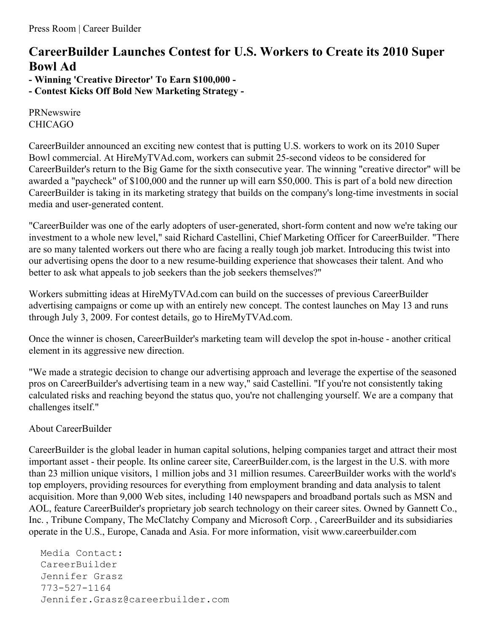## **CareerBuilder Launches Contest for U.S. Workers to Create its 2010 Super Bowl Ad**

**- Winning 'Creative Director' To Earn \$100,000 - - Contest Kicks Off Bold New Marketing Strategy -**

PRNewswire CHICAGO

CareerBuilder announced an exciting new contest that is putting U.S. workers to work on its 2010 Super Bowl commercial. At HireMyTVAd.com, workers can submit 25-second videos to be considered for CareerBuilder's return to the Big Game for the sixth consecutive year. The winning "creative director" will be awarded a "paycheck" of \$100,000 and the runner up will earn \$50,000. This is part of a bold new direction CareerBuilder is taking in its marketing strategy that builds on the company's long-time investments in social media and user-generated content.

"CareerBuilder was one of the early adopters of user-generated, short-form content and now we're taking our investment to a whole new level," said Richard Castellini, Chief Marketing Officer for CareerBuilder. "There are so many talented workers out there who are facing a really tough job market. Introducing this twist into our advertising opens the door to a new resume-building experience that showcases their talent. And who better to ask what appeals to job seekers than the job seekers themselves?"

Workers submitting ideas at HireMyTVAd.com can build on the successes of previous CareerBuilder advertising campaigns or come up with an entirely new concept. The contest launches on May 13 and runs through July 3, 2009. For contest details, go to HireMyTVAd.com.

Once the winner is chosen, CareerBuilder's marketing team will develop the spot in-house - another critical element in its aggressive new direction.

"We made a strategic decision to change our advertising approach and leverage the expertise of the seasoned pros on CareerBuilder's advertising team in a new way," said Castellini. "If you're not consistently taking calculated risks and reaching beyond the status quo, you're not challenging yourself. We are a company that challenges itself."

## About CareerBuilder

CareerBuilder is the global leader in human capital solutions, helping companies target and attract their most important asset - their people. Its online career site, CareerBuilder.com, is the largest in the U.S. with more than 23 million unique visitors, 1 million jobs and 31 million resumes. CareerBuilder works with the world's top employers, providing resources for everything from employment branding and data analysis to talent acquisition. More than 9,000 Web sites, including 140 newspapers and broadband portals such as MSN and AOL, feature CareerBuilder's proprietary job search technology on their career sites. Owned by Gannett Co., Inc. , Tribune Company, The McClatchy Company and Microsoft Corp. , CareerBuilder and its subsidiaries operate in the U.S., Europe, Canada and Asia. For more information, visit www.careerbuilder.com

Media Contact: CareerBuilder Jennifer Grasz 773-527-1164 Jennifer.Grasz@careerbuilder.com